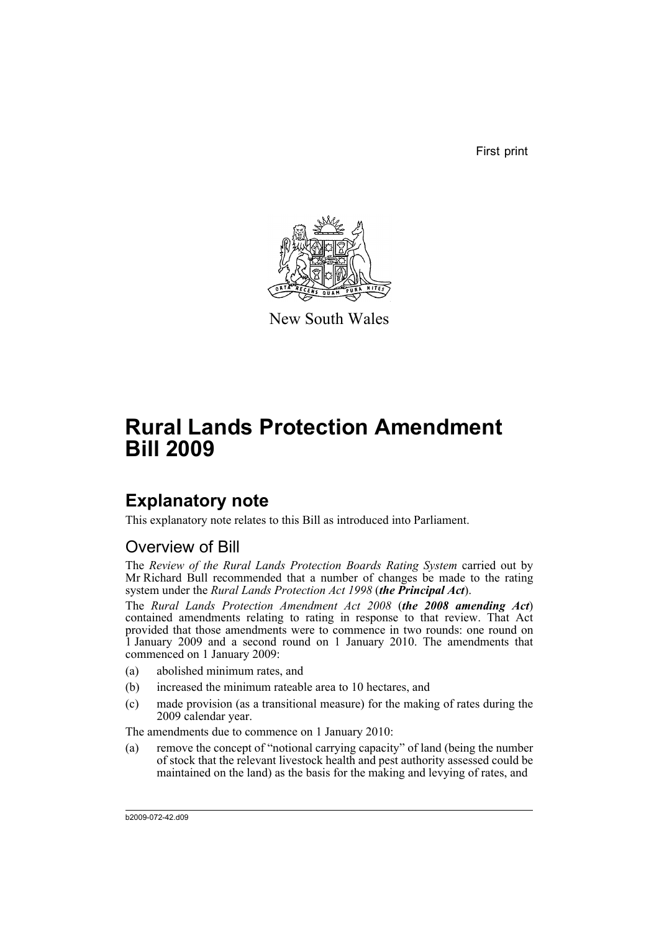First print



New South Wales

# **Rural Lands Protection Amendment Bill 2009**

## **Explanatory note**

This explanatory note relates to this Bill as introduced into Parliament.

## Overview of Bill

The *Review of the Rural Lands Protection Boards Rating System* carried out by Mr Richard Bull recommended that a number of changes be made to the rating system under the *Rural Lands Protection Act 1998* (*the Principal Act*).

The *Rural Lands Protection Amendment Act 2008* (*the 2008 amending Act*) contained amendments relating to rating in response to that review. That Act provided that those amendments were to commence in two rounds: one round on 1 January 2009 and a second round on 1 January 2010. The amendments that commenced on 1 January 2009:

- (a) abolished minimum rates, and
- (b) increased the minimum rateable area to 10 hectares, and
- (c) made provision (as a transitional measure) for the making of rates during the 2009 calendar year.

The amendments due to commence on 1 January 2010:

(a) remove the concept of "notional carrying capacity" of land (being the number of stock that the relevant livestock health and pest authority assessed could be maintained on the land) as the basis for the making and levying of rates, and

b2009-072-42.d09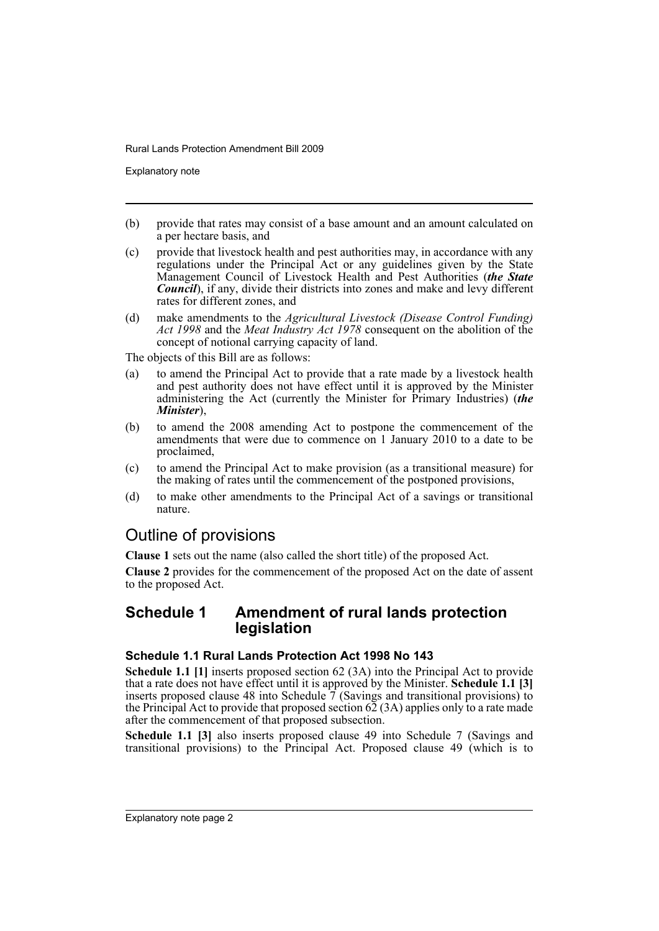Explanatory note

- (b) provide that rates may consist of a base amount and an amount calculated on a per hectare basis, and
- (c) provide that livestock health and pest authorities may, in accordance with any regulations under the Principal Act or any guidelines given by the State Management Council of Livestock Health and Pest Authorities (*the State Council*), if any, divide their districts into zones and make and levy different rates for different zones, and
- (d) make amendments to the *Agricultural Livestock (Disease Control Funding) Act 1998* and the *Meat Industry Act 1978* consequent on the abolition of the concept of notional carrying capacity of land.

The objects of this Bill are as follows:

- (a) to amend the Principal Act to provide that a rate made by a livestock health and pest authority does not have effect until it is approved by the Minister administering the Act (currently the Minister for Primary Industries) (*the Minister*),
- (b) to amend the 2008 amending Act to postpone the commencement of the amendments that were due to commence on 1 January 2010 to a date to be proclaimed,
- (c) to amend the Principal Act to make provision (as a transitional measure) for the making of rates until the commencement of the postponed provisions,
- (d) to make other amendments to the Principal Act of a savings or transitional nature.

### Outline of provisions

**Clause 1** sets out the name (also called the short title) of the proposed Act.

**Clause 2** provides for the commencement of the proposed Act on the date of assent to the proposed Act.

### **Schedule 1 Amendment of rural lands protection legislation**

#### **Schedule 1.1 Rural Lands Protection Act 1998 No 143**

**Schedule 1.1 [1]** inserts proposed section 62 (3A) into the Principal Act to provide that a rate does not have effect until it is approved by the Minister. **Schedule 1.1 [3]** inserts proposed clause 48 into Schedule 7 (Savings and transitional provisions) to the Principal Act to provide that proposed section  $62(3)$  applies only to a rate made after the commencement of that proposed subsection.

**Schedule 1.1 [3]** also inserts proposed clause 49 into Schedule 7 (Savings and transitional provisions) to the Principal Act. Proposed clause 49 (which is to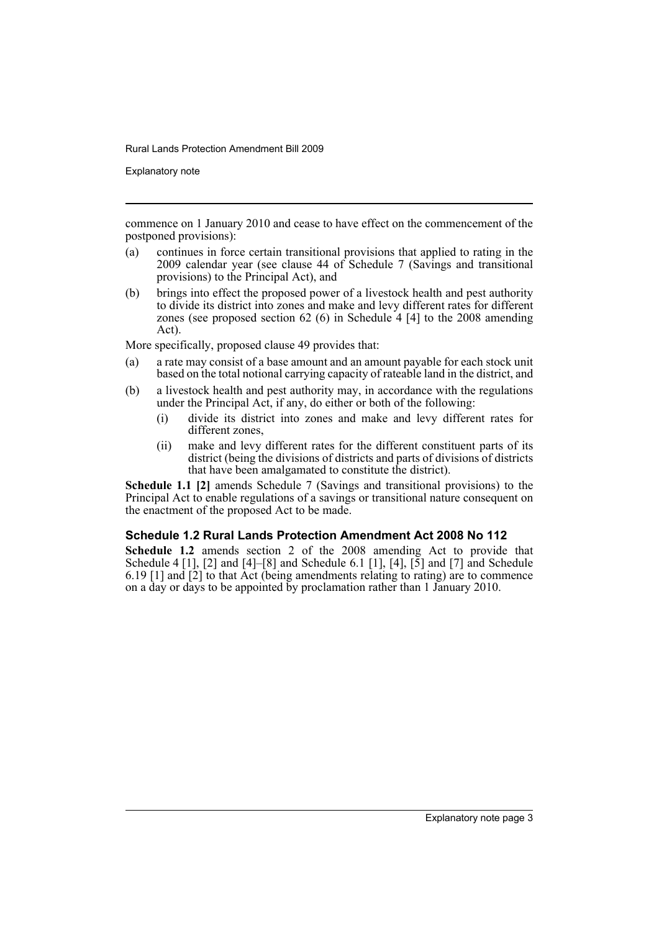Explanatory note

commence on 1 January 2010 and cease to have effect on the commencement of the postponed provisions):

- (a) continues in force certain transitional provisions that applied to rating in the 2009 calendar year (see clause 44 of Schedule 7 (Savings and transitional provisions) to the Principal Act), and
- (b) brings into effect the proposed power of a livestock health and pest authority to divide its district into zones and make and levy different rates for different zones (see proposed section 62 (6) in Schedule 4 [4] to the 2008 amending Act).

More specifically, proposed clause 49 provides that:

- (a) a rate may consist of a base amount and an amount payable for each stock unit based on the total notional carrying capacity of rateable land in the district, and
- (b) a livestock health and pest authority may, in accordance with the regulations under the Principal Act, if any, do either or both of the following:
	- (i) divide its district into zones and make and levy different rates for different zones,
	- (ii) make and levy different rates for the different constituent parts of its district (being the divisions of districts and parts of divisions of districts that have been amalgamated to constitute the district).

**Schedule 1.1 [2]** amends Schedule 7 (Savings and transitional provisions) to the Principal Act to enable regulations of a savings or transitional nature consequent on the enactment of the proposed Act to be made.

#### **Schedule 1.2 Rural Lands Protection Amendment Act 2008 No 112**

Schedule 1.2 amends section 2 of the 2008 amending Act to provide that Schedule 4 [1], [2] and  $[4]$ – $[8]$  and Schedule 6.1 [1], [4],  $[5]$  and  $[7]$  and Schedule 6.19 [1] and  $\left[\frac{2}{2}\right]$  to that Act (being amendments relating to rating) are to commence on a day or days to be appointed by proclamation rather than 1 January 2010.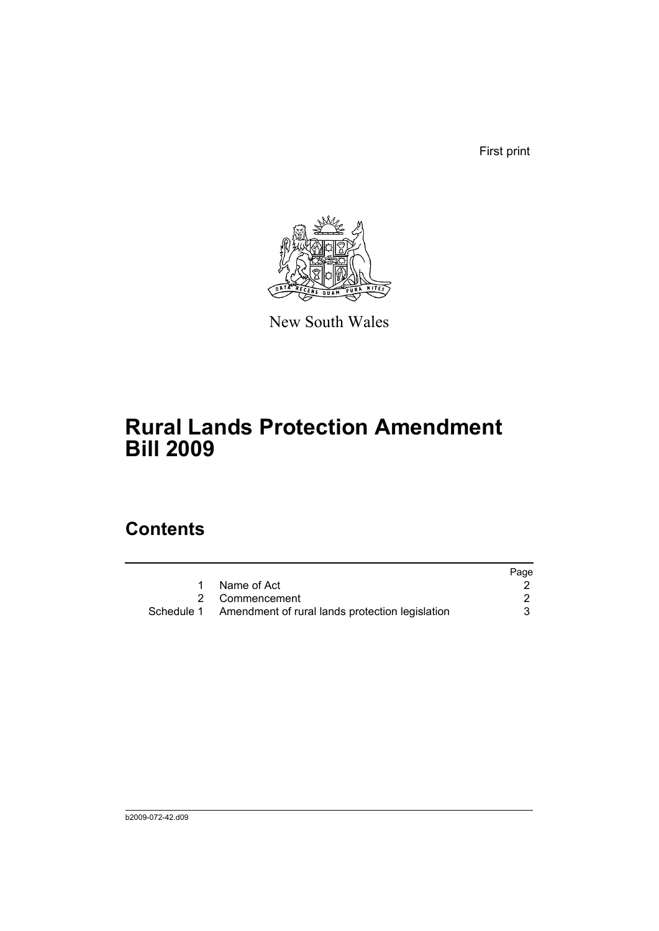First print



New South Wales

# **Rural Lands Protection Amendment Bill 2009**

## **Contents**

|            |                                                 | Page |
|------------|-------------------------------------------------|------|
|            | Name of Act                                     |      |
|            | 2 Commencement                                  |      |
| Schedule 1 | Amendment of rural lands protection legislation |      |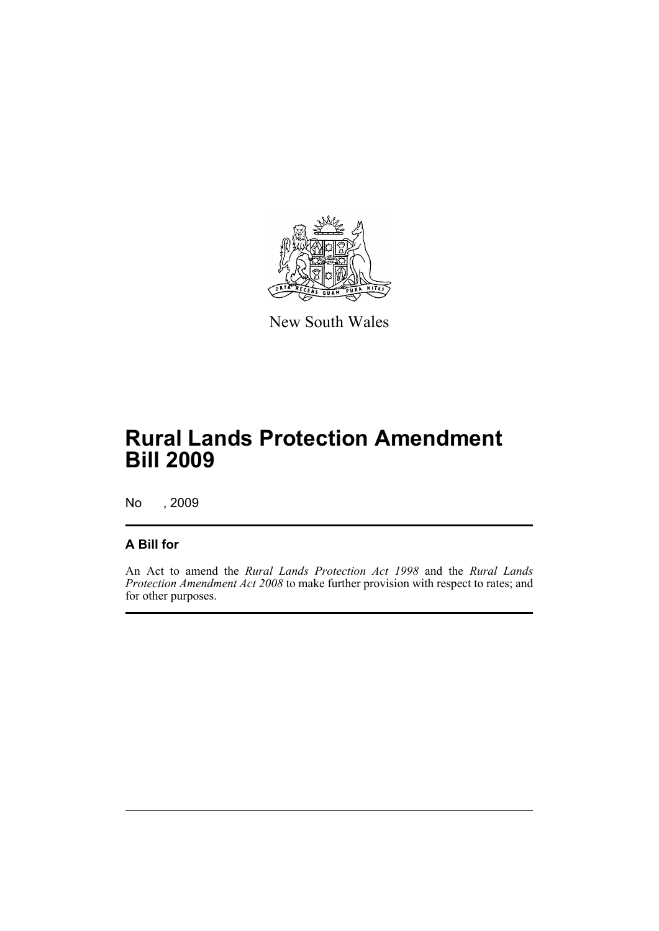

New South Wales

# **Rural Lands Protection Amendment Bill 2009**

No , 2009

### **A Bill for**

An Act to amend the *Rural Lands Protection Act 1998* and the *Rural Lands Protection Amendment Act 2008* to make further provision with respect to rates; and for other purposes.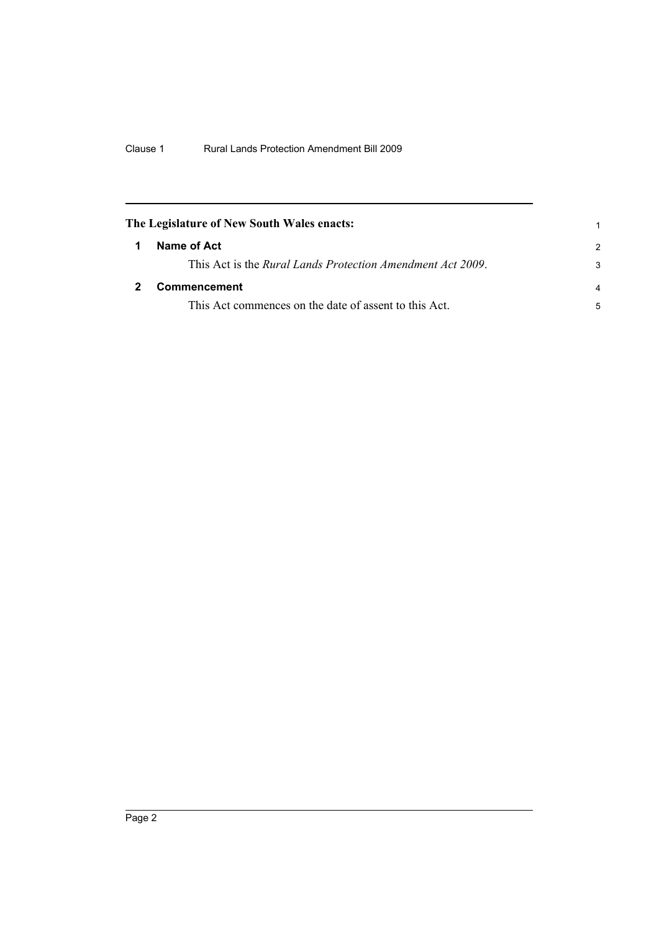<span id="page-7-1"></span><span id="page-7-0"></span>

|   | The Legislature of New South Wales enacts:                 |               |
|---|------------------------------------------------------------|---------------|
| 1 | Name of Act                                                | $\mathcal{P}$ |
|   | This Act is the Rural Lands Protection Amendment Act 2009. | 3             |
|   | Commencement                                               |               |
|   | This Act commences on the date of assent to this Act.      | 5             |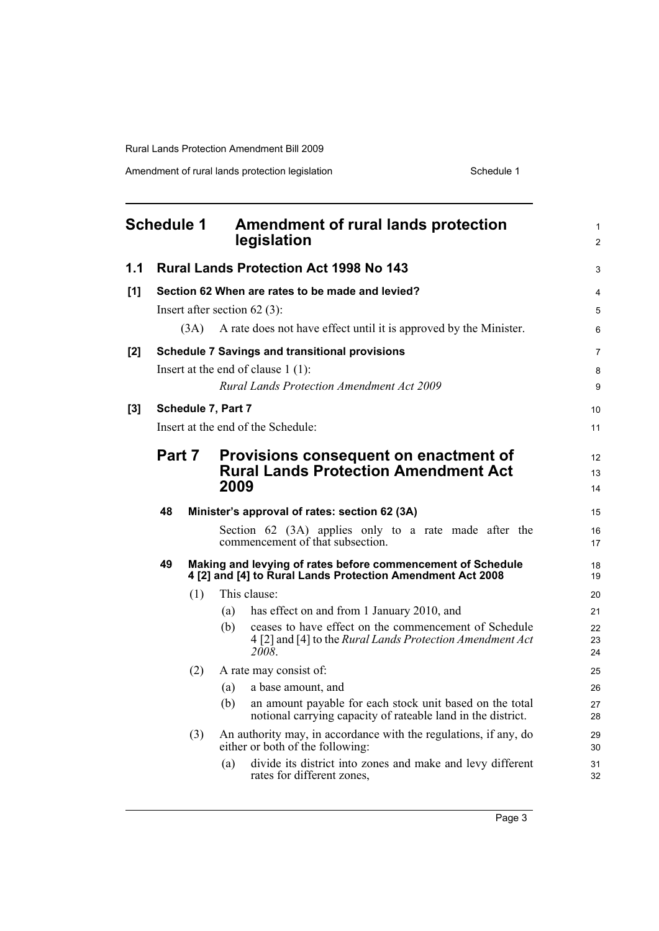<span id="page-8-0"></span>

| <b>Schedule 1</b> |                                                          |                                                                                                                                                                                                                                |            | <b>Amendment of rural lands protection</b><br>legislation                                                                                                                                                                                    | $\mathbf{1}$<br>$\overline{2}$ |  |
|-------------------|----------------------------------------------------------|--------------------------------------------------------------------------------------------------------------------------------------------------------------------------------------------------------------------------------|------------|----------------------------------------------------------------------------------------------------------------------------------------------------------------------------------------------------------------------------------------------|--------------------------------|--|
| 1.1               |                                                          |                                                                                                                                                                                                                                |            | <b>Rural Lands Protection Act 1998 No 143</b>                                                                                                                                                                                                | 3                              |  |
| [1]               |                                                          | Section 62 When are rates to be made and levied?<br>Insert after section $62(3)$ :                                                                                                                                             |            | 4<br>5<br>6                                                                                                                                                                                                                                  |                                |  |
| [2]               |                                                          | A rate does not have effect until it is approved by the Minister.<br>(3A)<br><b>Schedule 7 Savings and transitional provisions</b><br>Insert at the end of clause $1(1)$ :<br><b>Rural Lands Protection Amendment Act 2009</b> |            |                                                                                                                                                                                                                                              |                                |  |
| $[3]$             | Schedule 7, Part 7<br>Insert at the end of the Schedule: |                                                                                                                                                                                                                                |            |                                                                                                                                                                                                                                              | 10<br>11                       |  |
|                   | Part 7                                                   |                                                                                                                                                                                                                                | 2009       | Provisions consequent on enactment of<br><b>Rural Lands Protection Amendment Act</b>                                                                                                                                                         | 12<br>13<br>14                 |  |
|                   | 48                                                       |                                                                                                                                                                                                                                |            | Minister's approval of rates: section 62 (3A)<br>Section 62 (3A) applies only to a rate made after the<br>commencement of that subsection.                                                                                                   | 15<br>16<br>17                 |  |
|                   | 49                                                       |                                                                                                                                                                                                                                |            | Making and levying of rates before commencement of Schedule<br>4 [2] and [4] to Rural Lands Protection Amendment Act 2008                                                                                                                    | 18<br>19                       |  |
|                   |                                                          | (1)                                                                                                                                                                                                                            | (a)<br>(b) | This clause:<br>has effect on and from 1 January 2010, and<br>ceases to have effect on the commencement of Schedule<br>4 [2] and [4] to the Rural Lands Protection Amendment Act<br>2008.                                                    | 20<br>21<br>22<br>23<br>24     |  |
|                   |                                                          | (2)<br>(3)                                                                                                                                                                                                                     | (a)<br>(b) | A rate may consist of:<br>a base amount, and<br>an amount payable for each stock unit based on the total<br>notional carrying capacity of rateable land in the district.<br>An authority may, in accordance with the regulations, if any, do | 25<br>26<br>27<br>28<br>29     |  |
|                   |                                                          |                                                                                                                                                                                                                                | (a)        | either or both of the following:<br>divide its district into zones and make and levy different<br>rates for different zones,                                                                                                                 | 30<br>31<br>32                 |  |